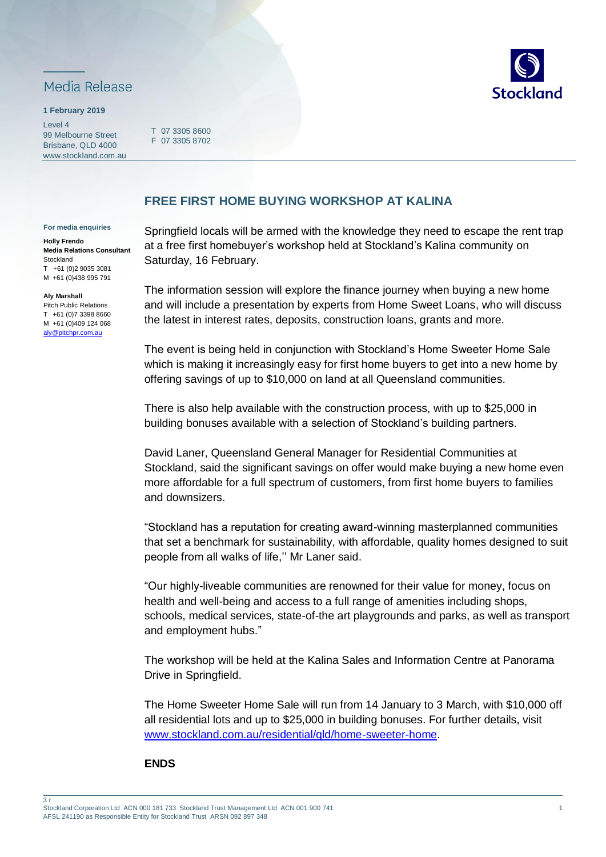

## **1 February 2019**

Level 4 99 Melbourne Street Brisbane, QLD 4000 www.stockland.com.au

T 07 3305 8600 F 07 3305 8702



## **FREE FIRST HOME BUYING WORKSHOP AT KALINA**

## **For media enquiries**

**Holly Frendo Media Relations Consultant Stockland** T +61 (0)2 9035 3081 M +61 (0)438 995 791

**Aly Marshall** Pitch Public Relations T +61 (0)7 3398 8660 M +61 (0)409 124 068 [aly@pitchpr.com.au](mailto:aly@pitchpr.com.au)

Springfield locals will be armed with the knowledge they need to escape the rent trap at a free first homebuyer's workshop held at Stockland's Kalina community on Saturday, 16 February.

The information session will explore the finance journey when buying a new home and will include a presentation by experts from Home Sweet Loans, who will discuss the latest in interest rates, deposits, construction loans, grants and more.

The event is being held in conjunction with Stockland's Home Sweeter Home Sale which is making it increasingly easy for first home buyers to get into a new home by offering savings of up to \$10,000 on land at all Queensland communities.

There is also help available with the construction process, with up to \$25,000 in building bonuses available with a selection of Stockland's building partners.

David Laner, Queensland General Manager for Residential Communities at Stockland, said the significant savings on offer would make buying a new home even more affordable for a full spectrum of customers, from first home buyers to families and downsizers.

"Stockland has a reputation for creating award-winning masterplanned communities that set a benchmark for sustainability, with affordable, quality homes designed to suit people from all walks of life,'' Mr Laner said.

"Our highly-liveable communities are renowned for their value for money, focus on health and well-being and access to a full range of amenities including shops, schools, medical services, state-of-the art playgrounds and parks, as well as transport and employment hubs."

The workshop will be held at the Kalina Sales and Information Centre at Panorama Drive in Springfield.

The Home Sweeter Home Sale will run from 14 January to 3 March, with \$10,000 off all residential lots and up to \$25,000 in building bonuses. For further details, visit [www.stockland.com.au/residential/qld/home-sweeter-home.](http://www.stockland.com.au/residential/qld/home-sweeter-home)

## **ENDS**

3 r

Stockland Corporation Ltd ACN 000 181 733 Stockland Trust Management Ltd ACN 001 900 741 AFSL 241190 as Responsible Entity for Stockland Trust ARSN 092 897 348